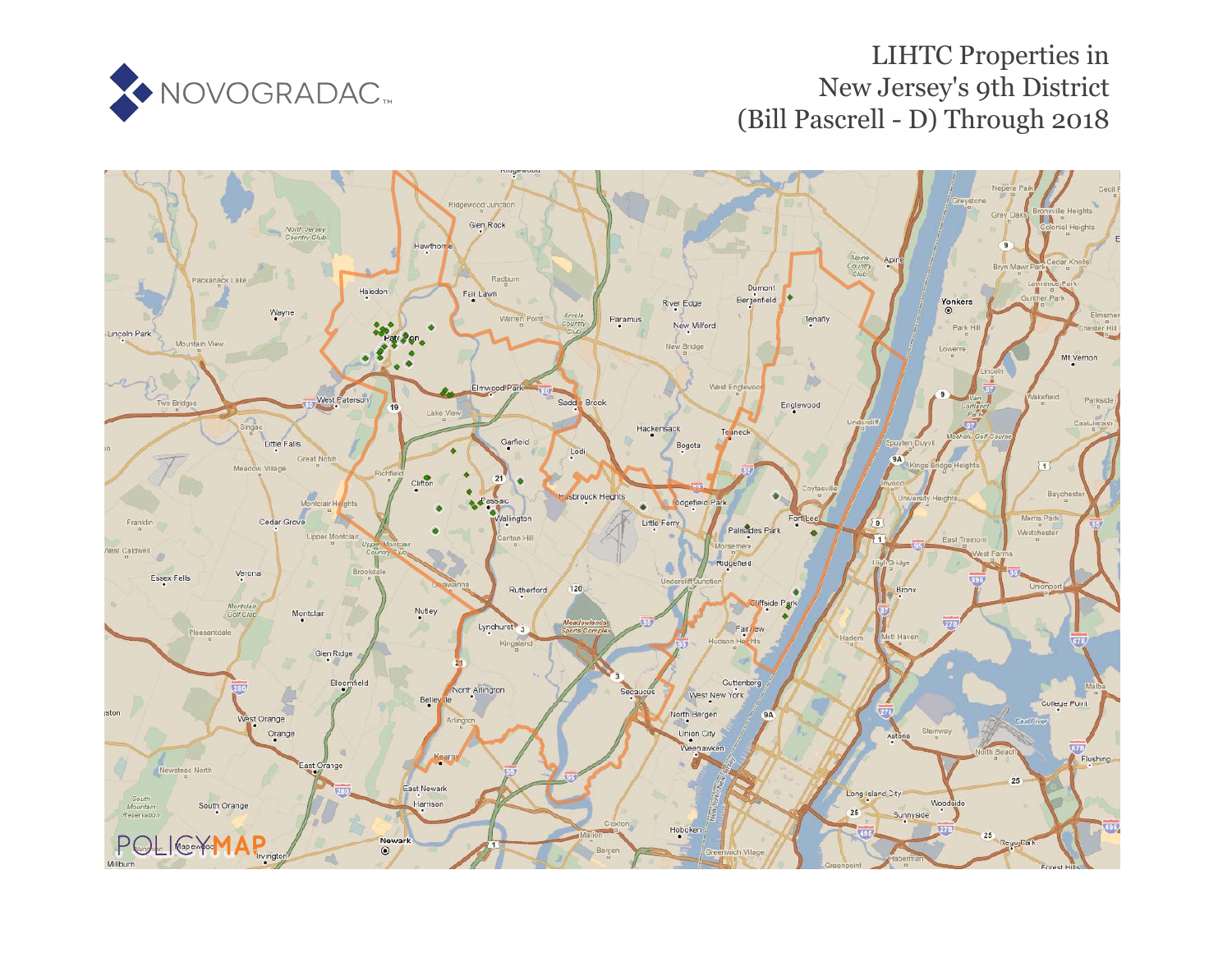

# LIHTC Properties in New Jersey's 9th District (Bill Pascrell - D) Through 2018

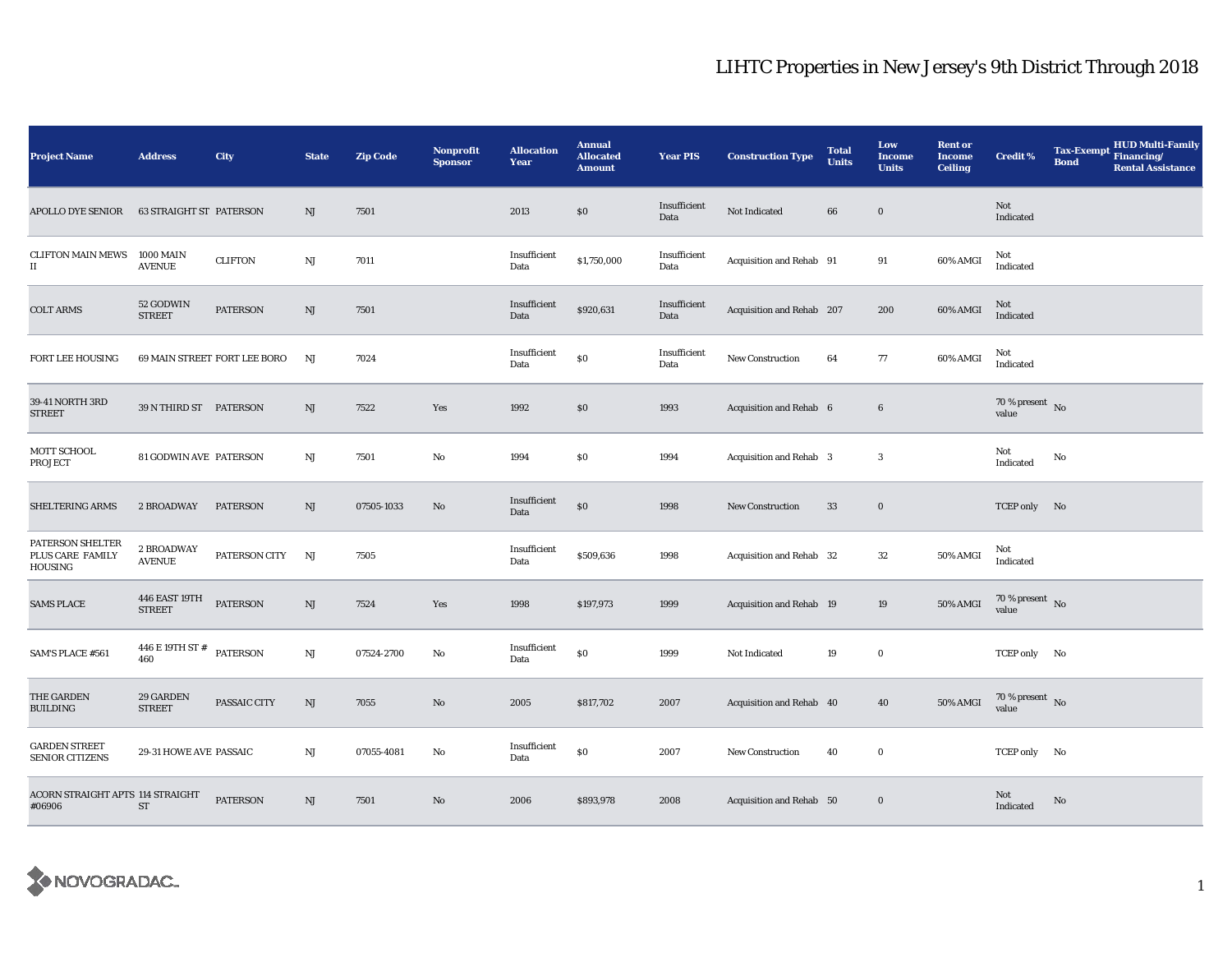| <b>Project Name</b>                              | <b>Address</b>                          | City                         | <b>State</b>           | <b>Zip Code</b> | Nonprofit<br><b>Sponsor</b> | <b>Allocation</b><br>Year | <b>Annual</b><br><b>Allocated</b><br><b>Amount</b> | <b>Year PIS</b>      | <b>Construction Type</b>  | <b>Total</b><br><b>Units</b> | Low<br><b>Income</b><br><b>Units</b> | <b>Rent or</b><br><b>Income</b><br><b>Ceiling</b> | <b>Credit %</b>                    | <b>Tax-Exempt</b><br><b>Bond</b> | HUD Multi-Family<br>Financing/<br><b>Rental Assistance</b> |
|--------------------------------------------------|-----------------------------------------|------------------------------|------------------------|-----------------|-----------------------------|---------------------------|----------------------------------------------------|----------------------|---------------------------|------------------------------|--------------------------------------|---------------------------------------------------|------------------------------------|----------------------------------|------------------------------------------------------------|
| <b>APOLLO DYE SENIOR</b>                         | <b>63 STRAIGHT ST PATERSON</b>          |                              | NJ                     | 7501            |                             | 2013                      | \$0                                                | Insufficient<br>Data | Not Indicated             | 66                           | $\bf{0}$                             |                                                   | Not<br>Indicated                   |                                  |                                                            |
| <b>CLIFTON MAIN MEWS</b><br>$\scriptstyle\rm II$ | <b>1000 MAIN</b><br><b>AVENUE</b>       | <b>CLIFTON</b>               | $\mathbf{N}\mathbf{J}$ | 7011            |                             | Insufficient<br>Data      | \$1,750,000                                        | Insufficient<br>Data | Acquisition and Rehab 91  |                              | 91                                   | 60% AMGI                                          | Not<br>Indicated                   |                                  |                                                            |
| <b>COLT ARMS</b>                                 | 52 GODWIN<br><b>STREET</b>              | <b>PATERSON</b>              | NJ                     | 7501            |                             | Insufficient<br>Data      | \$920,631                                          | Insufficient<br>Data | Acquisition and Rehab 207 |                              | 200                                  | 60% AMGI                                          | Not<br>Indicated                   |                                  |                                                            |
| FORT LEE HOUSING                                 |                                         | 69 MAIN STREET FORT LEE BORO | NJ                     | 7024            |                             | Insufficient<br>Data      | \$0                                                | Insufficient<br>Data | New Construction          | 64                           | 77                                   | 60% AMGI                                          | Not<br>Indicated                   |                                  |                                                            |
| 39-41 NORTH 3RD<br><b>STREET</b>                 | 39 N THIRD ST PATERSON                  |                              | NJ                     | 7522            | Yes                         | 1992                      | \$0                                                | 1993                 | Acquisition and Rehab 6   |                              | $6\phantom{.0}$                      |                                                   | 70 % present $\,$ No $\,$<br>value |                                  |                                                            |
| MOTT SCHOOL<br><b>PROJECT</b>                    | 81 GODWIN AVE PATERSON                  |                              | NJ                     | 7501            | No                          | 1994                      | \$0                                                | 1994                 | Acquisition and Rehab 3   |                              | 3                                    |                                                   | Not<br>Indicated                   | No                               |                                                            |
| SHELTERING ARMS                                  | 2 BROADWAY                              | <b>PATERSON</b>              | NJ                     | 07505-1033      | No                          | Insufficient<br>Data      | \$0                                                | 1998                 | New Construction          | 33                           | $\bf{0}$                             |                                                   | TCEP only No                       |                                  |                                                            |
| PATERSON SHELTER<br>PLUS CARE FAMILY<br>HOUSING  | 2 BROADWAY<br><b>AVENUE</b>             | PATERSON CITY                | NJ                     | 7505            |                             | Insufficient<br>Data      | \$509,636                                          | 1998                 | Acquisition and Rehab 32  |                              | 32                                   | 50% AMGI                                          | Not<br>Indicated                   |                                  |                                                            |
| <b>SAMS PLACE</b>                                | 446 EAST 19TH<br><b>STREET</b>          | <b>PATERSON</b>              | NJ                     | 7524            | Yes                         | 1998                      | \$197,973                                          | 1999                 | Acquisition and Rehab 19  |                              | 19                                   | 50% AMGI                                          | 70 % present $\hbox{~No}$<br>value |                                  |                                                            |
| SAM'S PLACE #561                                 | $446$ E 19TH ST $^{\#}$ PATERSON<br>460 |                              | $\mathbf{N}\mathbf{J}$ | 07524-2700      | No                          | Insufficient<br>Data      | \$0                                                | 1999                 | Not Indicated             | 19                           | $\bf{0}$                             |                                                   | TCEP only No                       |                                  |                                                            |
| THE GARDEN<br><b>BUILDING</b>                    | 29 GARDEN<br><b>STREET</b>              | PASSAIC CITY                 | NJ                     | 7055            | $\mathbf{No}$               | 2005                      | \$817,702                                          | 2007                 | Acquisition and Rehab 40  |                              | 40                                   | 50% AMGI                                          | 70 % present $\,$ No $\,$<br>value |                                  |                                                            |
| <b>GARDEN STREET</b><br><b>SENIOR CITIZENS</b>   | 29-31 HOWE AVE PASSAIC                  |                              | NJ                     | 07055-4081      | No                          | Insufficient<br>Data      | \$0                                                | 2007                 | <b>New Construction</b>   | 40                           | $\bf{0}$                             |                                                   | TCEP only No                       |                                  |                                                            |
| ACORN STRAIGHT APTS 114 STRAIGHT<br>#06906       | <b>ST</b>                               | <b>PATERSON</b>              | NJ                     | 7501            | No                          | 2006                      | \$893,978                                          | 2008                 | Acquisition and Rehab 50  |                              | $\bf{0}$                             |                                                   | Not<br>Indicated                   | No                               |                                                            |

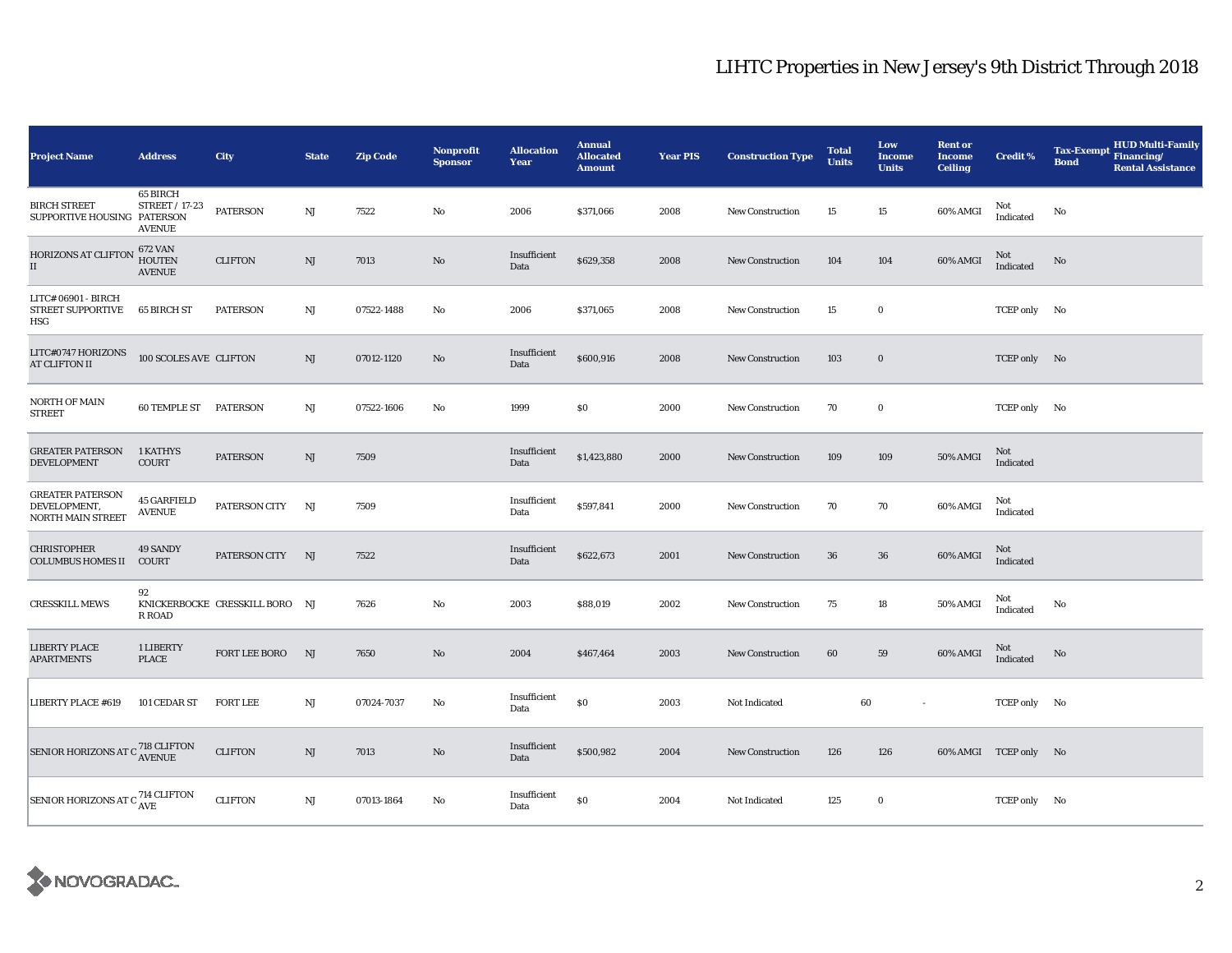| <b>Project Name</b>                                                 | <b>Address</b>                                     | City                           | <b>State</b> | <b>Zip Code</b> | <b>Nonprofit</b><br><b>Sponsor</b> | <b>Allocation</b><br>Year | <b>Annual</b><br><b>Allocated</b><br><b>Amount</b> | <b>Year PIS</b> | <b>Construction Type</b> | <b>Total</b><br><b>Units</b> | Low<br><b>Income</b><br><b>Units</b> | <b>Rent or</b><br><b>Income</b><br><b>Ceiling</b> | <b>Credit %</b>       | <b>HUD Multi-Family</b><br><b>Tax-Exempt</b><br>Financing/<br><b>Bond</b><br><b>Rental Assistance</b> |
|---------------------------------------------------------------------|----------------------------------------------------|--------------------------------|--------------|-----------------|------------------------------------|---------------------------|----------------------------------------------------|-----------------|--------------------------|------------------------------|--------------------------------------|---------------------------------------------------|-----------------------|-------------------------------------------------------------------------------------------------------|
| <b>BIRCH STREET</b><br>SUPPORTIVE HOUSING PATERSON                  | 65 BIRCH<br><b>STREET / 17-23</b><br><b>AVENUE</b> | <b>PATERSON</b>                | NJ           | 7522            | $\mathbf{No}$                      | 2006                      | \$371,066                                          | 2008            | New Construction         | 15                           | 15                                   | 60% AMGI                                          | Not<br>Indicated      | No                                                                                                    |
| <b>HORIZONS AT CLIFTON</b><br>$\rm II$                              | 672 VAN<br><b>HOUTEN</b><br><b>AVENUE</b>          | <b>CLIFTON</b>                 | NJ           | 7013            | No                                 | Insufficient<br>Data      | \$629,358                                          | 2008            | <b>New Construction</b>  | 104                          | 104                                  | 60% AMGI                                          | Not<br>Indicated      | No                                                                                                    |
| LITC# 06901 - BIRCH<br><b>STREET SUPPORTIVE</b><br>HSG              | 65 BIRCH ST                                        | <b>PATERSON</b>                | NJ           | 07522-1488      | No                                 | 2006                      | \$371,065                                          | 2008            | <b>New Construction</b>  | 15                           | $\bf{0}$                             |                                                   | TCEP only No          |                                                                                                       |
| LITC#0747 HORIZONS<br><b>AT CLIFTON II</b>                          | 100 SCOLES AVE CLIFTON                             |                                | NJ           | 07012-1120      | No                                 | Insufficient<br>Data      | \$600,916                                          | 2008            | New Construction         | 103                          | $\bf{0}$                             |                                                   | TCEP only No          |                                                                                                       |
| NORTH OF MAIN<br><b>STREET</b>                                      | <b>60 TEMPLE ST PATERSON</b>                       |                                | NJ           | 07522-1606      | No                                 | 1999                      | \$0                                                | 2000            | <b>New Construction</b>  | 70                           | $\bf{0}$                             |                                                   | TCEP only No          |                                                                                                       |
| <b>GREATER PATERSON</b><br><b>DEVELOPMENT</b>                       | 1 KATHYS<br><b>COURT</b>                           | <b>PATERSON</b>                | $_{\rm NJ}$  | 7509            |                                    | Insufficient<br>Data      | \$1,423,880                                        | 2000            | <b>New Construction</b>  | 109                          | 109                                  | 50% AMGI                                          | Not<br>Indicated      |                                                                                                       |
| <b>GREATER PATERSON</b><br>DEVELOPMENT,<br><b>NORTH MAIN STREET</b> | <b>45 GARFIELD</b><br><b>AVENUE</b>                | PATERSON CITY                  | NJ           | 7509            |                                    | Insufficient<br>Data      | \$597,841                                          | 2000            | <b>New Construction</b>  | 70                           | 70                                   | 60% AMGI                                          | Not<br>Indicated      |                                                                                                       |
| <b>CHRISTOPHER</b><br><b>COLUMBUS HOMES II</b>                      | 49 SANDY<br>COURT                                  | PATERSON CITY                  | NJ           | 7522            |                                    | Insufficient<br>Data      | \$622,673                                          | 2001            | <b>New Construction</b>  | 36                           | $36\,$                               | 60% AMGI                                          | Not<br>Indicated      |                                                                                                       |
| <b>CRESSKILL MEWS</b>                                               | 92<br><b>R ROAD</b>                                | KNICKERBOCKE CRESSKILL BORO NJ |              | 7626            | No                                 | 2003                      | \$88,019                                           | 2002            | New Construction         | 75                           | 18                                   | 50% AMGI                                          | Not<br>Indicated      | No                                                                                                    |
| <b>LIBERTY PLACE</b><br><b>APARTMENTS</b>                           | 1 LIBERTY<br><b>PLACE</b>                          | FORT LEE BORO                  | NJ           | 7650            | No                                 | 2004                      | \$467,464                                          | 2003            | New Construction         | 60                           | 59                                   | 60% AMGI                                          | Not<br>Indicated      | No                                                                                                    |
| <b>LIBERTY PLACE #619</b>                                           | 101 CEDAR ST                                       | <b>FORT LEE</b>                | NJ           | 07024-7037      | No                                 | Insufficient<br>Data      | \$0                                                | 2003            | Not Indicated            | 60                           | $\sim$                               |                                                   | TCEP only No          |                                                                                                       |
| SENIOR HORIZONS AT C $^{718}_{\Lambda \text{VENUE}}$                |                                                    | <b>CLIFTON</b>                 | $_{\rm NJ}$  | 7013            | No                                 | Insufficient<br>Data      | \$500,982                                          | 2004            | <b>New Construction</b>  | 126                          | 126                                  |                                                   | 60% AMGI TCEP only No |                                                                                                       |
| SENIOR HORIZONS AT C <sup>714</sup> CLIFTON                         |                                                    | <b>CLIFTON</b>                 | NJ           | 07013-1864      | No                                 | Insufficient<br>Data      | \$0                                                | 2004            | Not Indicated            | 125                          | $\bf{0}$                             |                                                   | TCEP only No          |                                                                                                       |

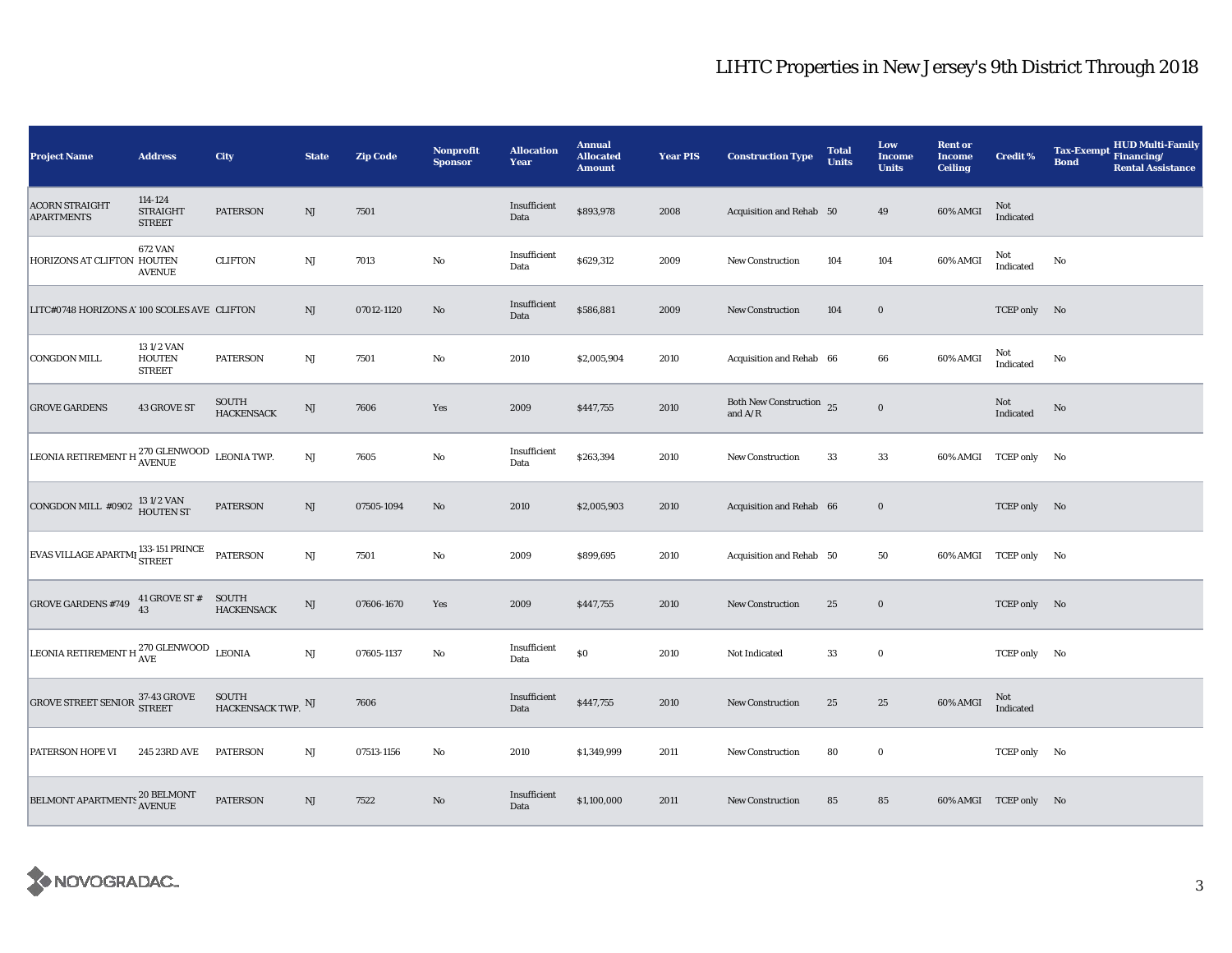| <b>Project Name</b>                                               | <b>Address</b>                              | City                                 | <b>State</b>           | <b>Zip Code</b> | Nonprofit<br><b>Sponsor</b> | <b>Allocation</b><br>Year | <b>Annual</b><br><b>Allocated</b><br><b>Amount</b> | <b>Year PIS</b> | <b>Construction Type</b>                                                          | <b>Total</b><br><b>Units</b> | Low<br>Income<br><b>Units</b> | <b>Rent or</b><br><b>Income</b><br><b>Ceiling</b> | Credit %              | <b>Tax-Exempt</b><br><b>Bond</b> | <b>HUD Multi-Family</b><br>Financing/<br><b>Rental Assistance</b> |
|-------------------------------------------------------------------|---------------------------------------------|--------------------------------------|------------------------|-----------------|-----------------------------|---------------------------|----------------------------------------------------|-----------------|-----------------------------------------------------------------------------------|------------------------------|-------------------------------|---------------------------------------------------|-----------------------|----------------------------------|-------------------------------------------------------------------|
| <b>ACORN STRAIGHT</b><br><b>APARTMENTS</b>                        | 114-124<br><b>STRAIGHT</b><br><b>STREET</b> | <b>PATERSON</b>                      | NJ                     | 7501            |                             | Insufficient<br>Data      | \$893,978                                          | 2008            | Acquisition and Rehab 50                                                          |                              | 49                            | 60% AMGI                                          | Not<br>Indicated      |                                  |                                                                   |
| HORIZONS AT CLIFTON HOUTEN                                        | <b>672 VAN</b><br><b>AVENUE</b>             | <b>CLIFTON</b>                       | $\mathbf{N}\mathbf{J}$ | 7013            | No                          | Insufficient<br>Data      | \$629,312                                          | 2009            | <b>New Construction</b>                                                           | 104                          | 104                           | 60% AMGI                                          | Not<br>Indicated      | No                               |                                                                   |
| LITC#0748 HORIZONS A' 100 SCOLES AVE CLIFTON                      |                                             |                                      | NJ                     | 07012-1120      | No                          | Insufficient<br>Data      | \$586,881                                          | 2009            | New Construction                                                                  | 104                          | $\bf{0}$                      |                                                   | TCEP only No          |                                  |                                                                   |
| <b>CONGDON MILL</b>                                               | 131/2 VAN<br><b>HOUTEN</b><br><b>STREET</b> | <b>PATERSON</b>                      | $_{\rm NJ}$            | 7501            | No                          | 2010                      | \$2,005,904                                        | 2010            | Acquisition and Rehab 66                                                          |                              | 66                            | 60% AMGI                                          | Not<br>Indicated      | No                               |                                                                   |
| <b>GROVE GARDENS</b>                                              | 43 GROVE ST                                 | SOUTH<br><b>HACKENSACK</b>           | NJ                     | 7606            | Yes                         | 2009                      | \$447,755                                          | 2010            | Both New Construction 25<br>and $\ensuremath{\mathrm{A}}/\ensuremath{\mathrm{R}}$ |                              | $\mathbf 0$                   |                                                   | Not<br>Indicated      | No                               |                                                                   |
| LEONIA RETIREMENT H $_{\rm AVENUE}^{270}$ GLENWOOD LEONIA TWP.    |                                             |                                      | NJ                     | 7605            | $\rm No$                    | Insufficient<br>Data      | \$263,394                                          | 2010            | New Construction                                                                  | 33                           | 33                            |                                                   | 60% AMGI TCEP only No |                                  |                                                                   |
| CONGDON MILL #0902 $\frac{131/2 \text{ VAN}}{\text{HOUTEN ST}}$   |                                             | <b>PATERSON</b>                      | NJ                     | 07505-1094      | No                          | 2010                      | \$2,005,903                                        | 2010            | Acquisition and Rehab 66                                                          |                              | $\mathbf 0$                   |                                                   | TCEP only No          |                                  |                                                                   |
| EVAS VILLAGE APARTMI <sup>133-151</sup> PRINCE                    |                                             | <b>PATERSON</b>                      | $\mathbf{N}\mathbf{J}$ | 7501            | No                          | 2009                      | \$899,695                                          | 2010            | Acquisition and Rehab 50                                                          |                              | 50                            |                                                   | 60% AMGI TCEP only No |                                  |                                                                   |
| <b>GROVE GARDENS #749</b>                                         | 41 GROVE ST #<br>43                         | SOUTH<br><b>HACKENSACK</b>           | NJ                     | 07606-1670      | Yes                         | 2009                      | \$447,755                                          | 2010            | New Construction                                                                  | 25                           | $\bf{0}$                      |                                                   | TCEP only No          |                                  |                                                                   |
| LEONIA RETIREMENT H $_{\text{AVE}}^{270 \text{ GLENWOOD}}$ LEONIA |                                             |                                      | $\rm NJ$               | 07605-1137      | No                          | Insufficient<br>Data      | $\$0$                                              | 2010            | Not Indicated                                                                     | 33                           | $\bf{0}$                      |                                                   | TCEP only No          |                                  |                                                                   |
| GROVE STREET SENIOR 37-43 GROVE                                   |                                             | SOUTH<br>HACKENSACK TWP. $^{\rm NJ}$ |                        | 7606            |                             | Insufficient<br>Data      | \$447,755                                          | 2010            | New Construction                                                                  | 25                           | $\bf 25$                      | 60% AMGI                                          | Not<br>Indicated      |                                  |                                                                   |
| PATERSON HOPE VI                                                  | 245 23RD AVE                                | <b>PATERSON</b>                      | $\mathbf{N}\mathbf{J}$ | 07513-1156      | $\rm No$                    | 2010                      | \$1,349,999                                        | 2011            | New Construction                                                                  | 80                           | $\bf{0}$                      |                                                   | TCEP only No          |                                  |                                                                   |
| BELMONT APARTMENTS <sup>20</sup> BELMONT                          |                                             | <b>PATERSON</b>                      | NJ                     | 7522            | No                          | Insufficient<br>Data      | \$1,100,000                                        | 2011            | <b>New Construction</b>                                                           | 85                           | 85                            |                                                   | 60% AMGI TCEP only No |                                  |                                                                   |

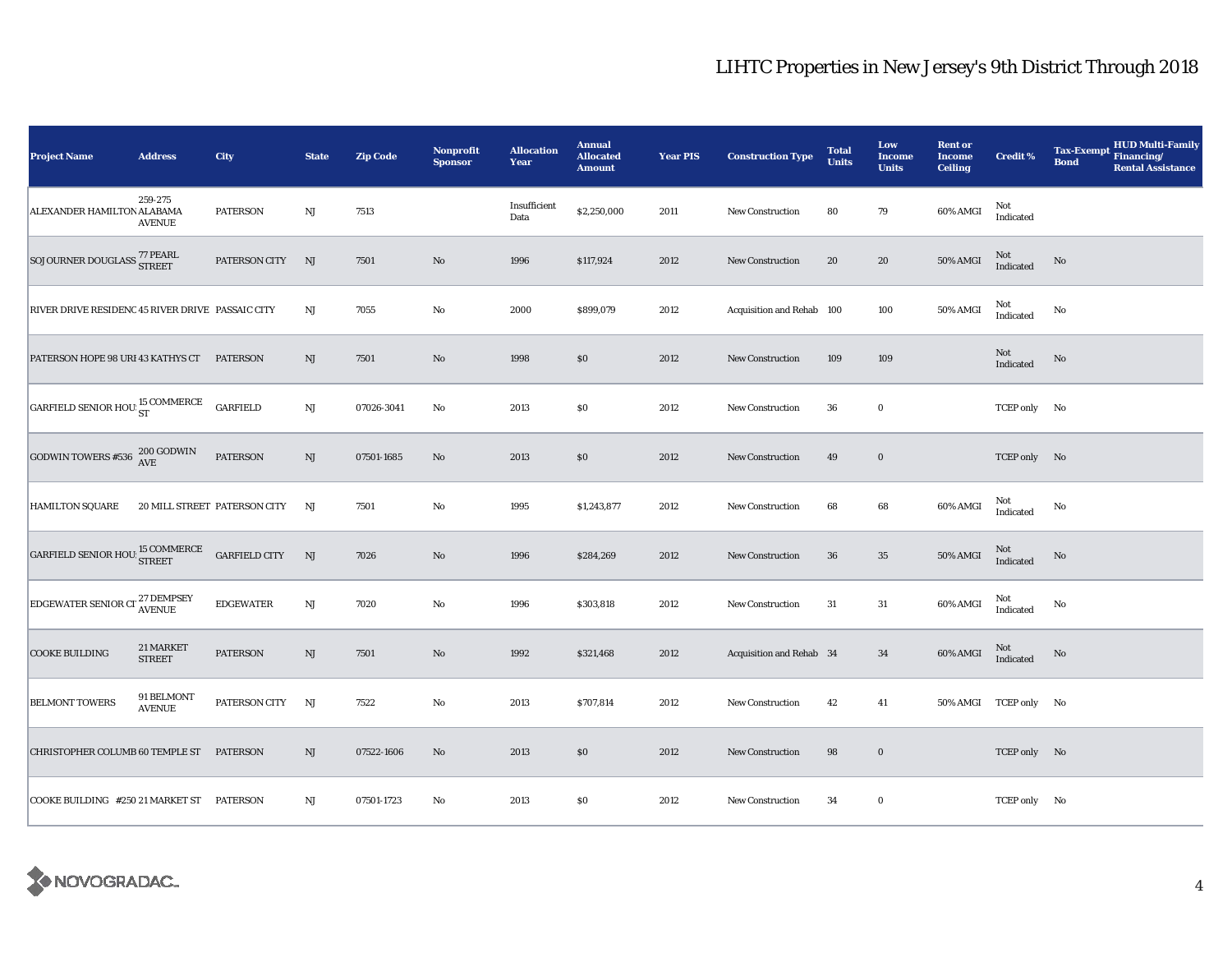| <b>Project Name</b>                                                                                                             | <b>Address</b>              | City                         | <b>State</b> | <b>Zip Code</b> | Nonprofit<br><b>Sponsor</b> | <b>Allocation</b><br>Year | <b>Annual</b><br><b>Allocated</b><br><b>Amount</b> | <b>Year PIS</b> | <b>Construction Type</b>  | <b>Total</b><br><b>Units</b> | Low<br><b>Income</b><br><b>Units</b> | <b>Rent or</b><br><b>Income</b><br><b>Ceiling</b> | <b>Credit %</b>       | <b>HUD Multi-Family</b><br><b>Tax-Exempt</b><br>Financing/<br><b>Bond</b><br><b>Rental Assistance</b> |
|---------------------------------------------------------------------------------------------------------------------------------|-----------------------------|------------------------------|--------------|-----------------|-----------------------------|---------------------------|----------------------------------------------------|-----------------|---------------------------|------------------------------|--------------------------------------|---------------------------------------------------|-----------------------|-------------------------------------------------------------------------------------------------------|
| ALEXANDER HAMILTON ALABAMA                                                                                                      | 259-275<br><b>AVENUE</b>    | <b>PATERSON</b>              | NJ           | 7513            |                             | Insufficient<br>Data      | \$2,250,000                                        | 2011            | <b>New Construction</b>   | 80                           | $\bf 79$                             | 60% AMGI                                          | Not<br>Indicated      |                                                                                                       |
| SOJOURNER DOUGLASS <sup>77 PEARL</sup><br>STREET                                                                                |                             | PATERSON CITY                | NJ           | 7501            | $\rm No$                    | 1996                      | \$117,924                                          | 2012            | <b>New Construction</b>   | 20                           | 20                                   | 50% AMGI                                          | Not<br>Indicated      | $\rm No$                                                                                              |
| RIVER DRIVE RESIDENC 45 RIVER DRIVE PASSAIC CITY                                                                                |                             |                              | NJ           | 7055            | $\rm No$                    | 2000                      | \$899,079                                          | 2012            | Acquisition and Rehab 100 |                              | 100                                  | 50% AMGI                                          | Not<br>Indicated      | No                                                                                                    |
| PATERSON HOPE 98 URI 43 KATHYS CT PATERSON                                                                                      |                             |                              | NJ           | 7501            | No                          | 1998                      | \$0\$                                              | 2012            | <b>New Construction</b>   | 109                          | 109                                  |                                                   | Not<br>Indicated      | No                                                                                                    |
| GARFIELD SENIOR HOU 5T                                                                                                          |                             | <b>GARFIELD</b>              | NJ           | 07026-3041      | $\rm No$                    | 2013                      | $\$0$                                              | 2012            | New Construction          | 36                           | $\bf{0}$                             |                                                   | TCEP only No          |                                                                                                       |
| GODWIN TOWERS #536 $^{200}_{\Lambda VE}$                                                                                        |                             | PATERSON                     | $\rm{NJ}$    | 07501-1685      | No                          | 2013                      | \$0                                                | 2012            | <b>New Construction</b>   | 49                           | $\bf{0}$                             |                                                   | TCEP only No          |                                                                                                       |
| <b>HAMILTON SQUARE</b>                                                                                                          |                             | 20 MILL STREET PATERSON CITY | NJ           | 7501            | $\rm No$                    | 1995                      | \$1,243,877                                        | 2012            | <b>New Construction</b>   | 68                           | 68                                   | 60% AMGI                                          | Not<br>Indicated      | No                                                                                                    |
| $\begin{array}{ l } \hline \texttt{GARFIELD} \texttt{SENIOR HOU} \texttt{^{15} COMMERCE} \\ \hline \texttt{STREET} \end{array}$ |                             | <b>GARFIELD CITY</b>         | NJ           | 7026            | $\rm\thinspace No$          | 1996                      | \$284,269                                          | 2012            | <b>New Construction</b>   | 36                           | $35\,$                               | 50% AMGI                                          | $\rm Not$ Indicated   | No                                                                                                    |
| EDGEWATER SENIOR CI <sup>27</sup> DEMPSEY                                                                                       |                             | <b>EDGEWATER</b>             | NJ           | 7020            | $\rm No$                    | 1996                      | \$303,818                                          | 2012            | <b>New Construction</b>   | 31                           | 31                                   | 60% AMGI                                          | Not<br>Indicated      | No                                                                                                    |
| <b>COOKE BUILDING</b>                                                                                                           | 21 MARKET<br><b>STREET</b>  | <b>PATERSON</b>              | NJ           | 7501            | No                          | 1992                      | \$321,468                                          | 2012            | Acquisition and Rehab 34  |                              | 34                                   | 60% AMGI                                          | Not<br>Indicated      | No                                                                                                    |
| <b>BELMONT TOWERS</b>                                                                                                           | 91 BELMONT<br><b>AVENUE</b> | PATERSON CITY                | NJ           | 7522            | No                          | 2013                      | \$707,814                                          | 2012            | <b>New Construction</b>   | 42                           | 41                                   |                                                   | 50% AMGI TCEP only No |                                                                                                       |
| CHRISTOPHER COLUMB 60 TEMPLE ST PATERSON                                                                                        |                             |                              | NJ           | 07522-1606      | $\rm No$                    | 2013                      | \$0                                                | 2012            | New Construction          | 98                           | $\mathbf 0$                          |                                                   | TCEP only No          |                                                                                                       |
| COOKE BUILDING #250 21 MARKET ST PATERSON                                                                                       |                             |                              | $_{\rm NJ}$  | 07501-1723      | No                          | 2013                      | $\$0$                                              | 2012            | New Construction          | 34                           | $\bf{0}$                             |                                                   | TCEP only No          |                                                                                                       |

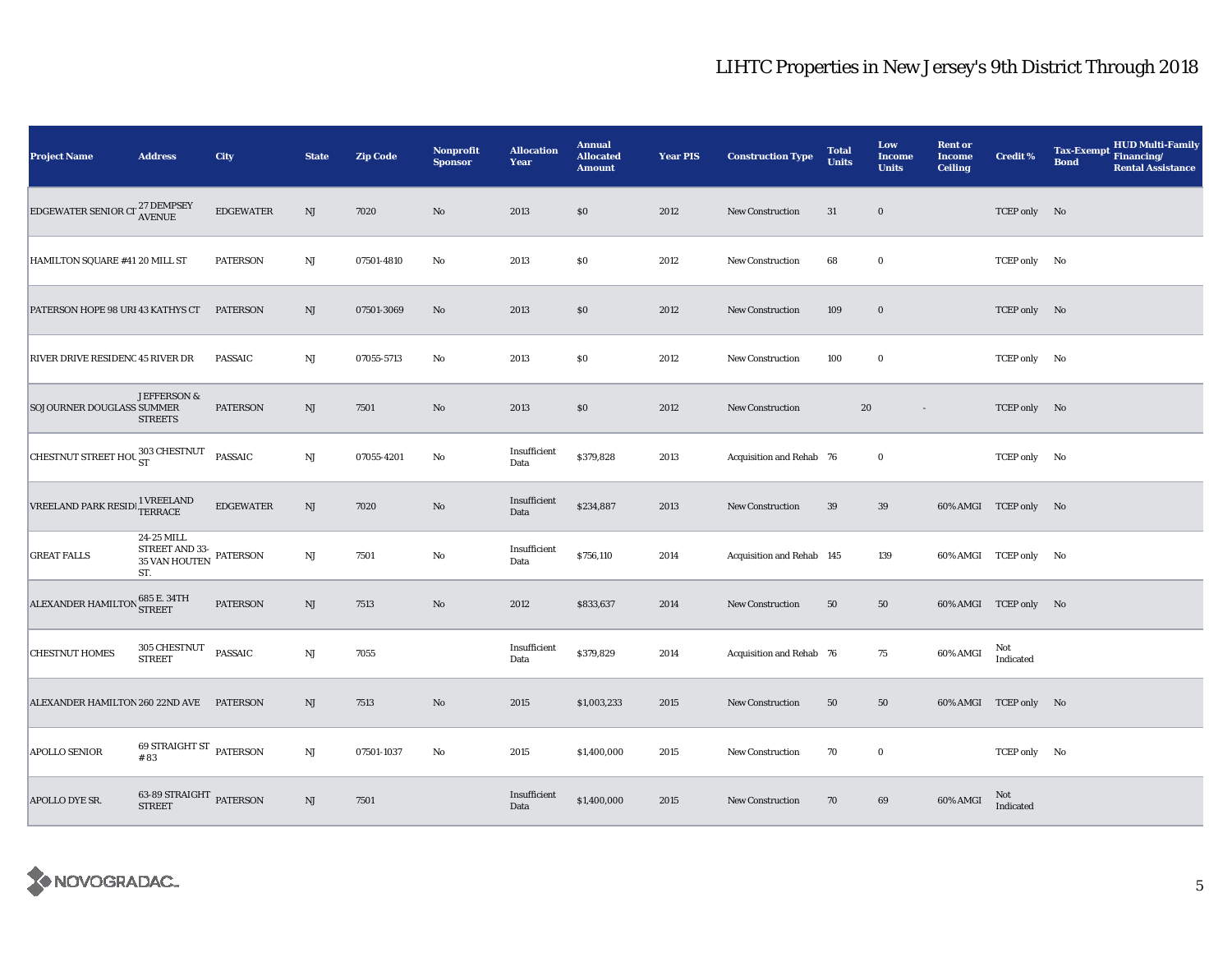| <b>Project Name</b>                                                            | <b>Address</b>                                       | <b>City</b>      | <b>State</b>           | <b>Zip Code</b> | Nonprofit<br><b>Sponsor</b> | <b>Allocation</b><br>Year | <b>Annual</b><br><b>Allocated</b><br><b>Amount</b> | <b>Year PIS</b> | <b>Construction Type</b>  | <b>Total</b><br><b>Units</b> | Low<br>Income<br><b>Units</b> | <b>Rent or</b><br><b>Income</b><br><b>Ceiling</b> | Credit %              | <b>HUD Multi-Family</b><br><b>Tax-Exempt</b><br>Financing/<br><b>Bond</b><br><b>Rental Assistance</b> |
|--------------------------------------------------------------------------------|------------------------------------------------------|------------------|------------------------|-----------------|-----------------------------|---------------------------|----------------------------------------------------|-----------------|---------------------------|------------------------------|-------------------------------|---------------------------------------------------|-----------------------|-------------------------------------------------------------------------------------------------------|
| EDGEWATER SENIOR CI <sup>27</sup> DEMPSEY                                      |                                                      | <b>EDGEWATER</b> | NJ                     | 7020            | $\rm No$                    | 2013                      | \$0                                                | 2012            | <b>New Construction</b>   | 31                           | $\bf{0}$                      |                                                   | TCEP only No          |                                                                                                       |
| HAMILTON SQUARE #41 20 MILL ST                                                 |                                                      | <b>PATERSON</b>  | $\mathbf{N}\mathbf{J}$ | 07501-4810      | $\rm No$                    | 2013                      | \$0                                                | 2012            | <b>New Construction</b>   | 68                           | $\bf{0}$                      |                                                   | TCEP only No          |                                                                                                       |
| PATERSON HOPE 98 URI 43 KATHYS CT                                              |                                                      | <b>PATERSON</b>  | NJ                     | 07501-3069      | No                          | 2013                      | $\$0$                                              | 2012            | New Construction          | 109                          | $\bf{0}$                      |                                                   | TCEP only No          |                                                                                                       |
| RIVER DRIVE RESIDENC 45 RIVER DR                                               |                                                      | <b>PASSAIC</b>   | $_{\rm NJ}$            | 07055-5713      | No                          | 2013                      | \$0                                                | 2012            | New Construction          | 100                          | $\bf{0}$                      |                                                   | TCEP only No          |                                                                                                       |
| SOJOURNER DOUGLASS SUMMER                                                      | <b>JEFFERSON &amp;</b><br><b>STREETS</b>             | <b>PATERSON</b>  | NJ                     | 7501            | $\rm No$                    | 2013                      | \$0                                                | 2012            | New Construction          | 20                           | $\overline{\phantom{a}}$      |                                                   | TCEP only No          |                                                                                                       |
| CHESTNUT STREET HOU 303 CHESTNUT                                               |                                                      | <b>PASSAIC</b>   | $\mathbf{N}\mathbf{J}$ | 07055-4201      | No                          | Insufficient<br>Data      | \$379,828                                          | 2013            | Acquisition and Rehab 76  |                              | $\bf{0}$                      |                                                   | TCEP only No          |                                                                                                       |
| $\sqrt{\text{REELAND PARK RESID}}$ $\frac{1 \text{ VREELAND}}{\text{TERRACE}}$ |                                                      | <b>EDGEWATER</b> | NJ                     | 7020            | No                          | Insufficient<br>Data      | \$234,887                                          | 2013            | <b>New Construction</b>   | 39                           | 39                            |                                                   | 60% AMGI TCEP only No |                                                                                                       |
| <b>GREAT FALLS</b>                                                             | 24-25 MILL<br>STREET AND 33-<br>35 VAN HOUTEN<br>ST. | <b>PATERSON</b>  | NJ                     | 7501            | No                          | Insufficient<br>Data      | \$756,110                                          | 2014            | Acquisition and Rehab 145 |                              | 139                           |                                                   | 60% AMGI TCEP only No |                                                                                                       |
| ALEXANDER HAMILTON 685 E. 34TH                                                 |                                                      | <b>PATERSON</b>  | NJ                     | 7513            | No                          | 2012                      | \$833,637                                          | 2014            | New Construction          | 50                           | 50                            |                                                   | 60% AMGI TCEP only No |                                                                                                       |
| <b>CHESTNUT HOMES</b>                                                          | 305 CHESTNUT<br><b>STREET</b>                        | <b>PASSAIC</b>   | NJ                     | 7055            |                             | Insufficient<br>Data      | \$379,829                                          | 2014            | Acquisition and Rehab 76  |                              | 75                            | 60% AMGI                                          | Not<br>Indicated      |                                                                                                       |
| ALEXANDER HAMILTON 260 22ND AVE PATERSON                                       |                                                      |                  | NJ                     | 7513            | $\rm No$                    | 2015                      | \$1,003,233                                        | 2015            | New Construction          | 50                           | 50                            |                                                   | 60% AMGI TCEP only No |                                                                                                       |
| <b>APOLLO SENIOR</b>                                                           | 69 STRAIGHT ST PATERSON<br>#83                       |                  | NJ                     | 07501-1037      | $\rm No$                    | 2015                      | \$1,400,000                                        | 2015            | <b>New Construction</b>   | 70                           | $\bf{0}$                      |                                                   | TCEP only No          |                                                                                                       |
| APOLLO DYE SR.                                                                 | 63-89 STRAIGHT PATERSON<br><b>STREET</b>             |                  | NJ                     | 7501            |                             | Insufficient<br>Data      | \$1,400,000                                        | 2015            | <b>New Construction</b>   | 70                           | 69                            | 60% AMGI                                          | Not<br>Indicated      |                                                                                                       |